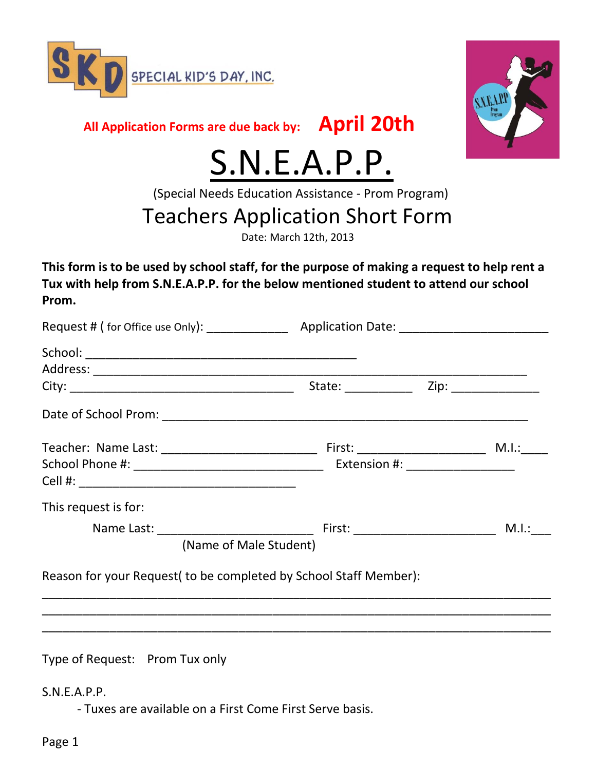



**All Application Forms are due back by: April 20th**

## S.N.E.A.P.P.

(Special Needs Education Assistance - Prom Program)

## Teachers Application Short Form

Date: March 12th, 2013

**This form is to be used by school staff, for the purpose of making a request to help rent a Tux with help from S.N.E.A.P.P. for the below mentioned student to attend our school Prom.**

| This request is for:                                              |  |  |       |
|-------------------------------------------------------------------|--|--|-------|
|                                                                   |  |  | M.I.: |
| (Name of Male Student)                                            |  |  |       |
| Reason for your Request (to be completed by School Staff Member): |  |  |       |
|                                                                   |  |  |       |
|                                                                   |  |  |       |
|                                                                   |  |  |       |

Type of Request: Prom Tux only

S.N.E.A.P.P.

- Tuxes are available on a First Come First Serve basis.